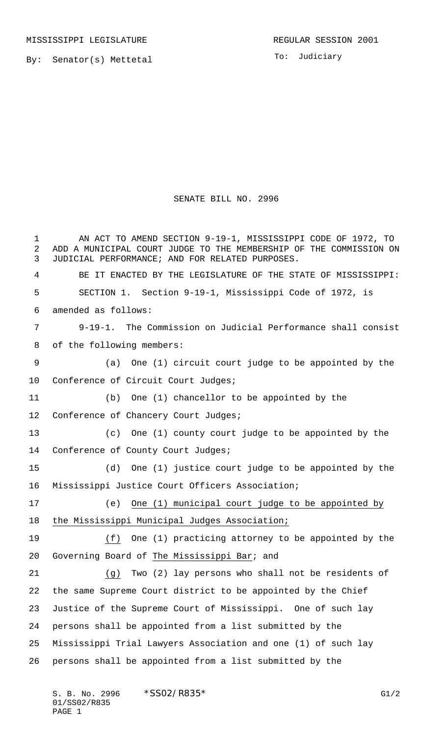By: Senator(s) Mettetal

To: Judiciary

## SENATE BILL NO. 2996

1 AN ACT TO AMEND SECTION 9-19-1, MISSISSIPPI CODE OF 1972, TO ADD A MUNICIPAL COURT JUDGE TO THE MEMBERSHIP OF THE COMMISSION ON JUDICIAL PERFORMANCE; AND FOR RELATED PURPOSES. BE IT ENACTED BY THE LEGISLATURE OF THE STATE OF MISSISSIPPI: SECTION 1. Section 9-19-1, Mississippi Code of 1972, is amended as follows: 9-19-1. The Commission on Judicial Performance shall consist of the following members: (a) One (1) circuit court judge to be appointed by the Conference of Circuit Court Judges; (b) One (1) chancellor to be appointed by the 12 Conference of Chancery Court Judges; (c) One (1) county court judge to be appointed by the Conference of County Court Judges; (d) One (1) justice court judge to be appointed by the Mississippi Justice Court Officers Association; (e) One (1) municipal court judge to be appointed by the Mississippi Municipal Judges Association; (f) One (1) practicing attorney to be appointed by the Governing Board of The Mississippi Bar; and (g) Two (2) lay persons who shall not be residents of the same Supreme Court district to be appointed by the Chief Justice of the Supreme Court of Mississippi. One of such lay persons shall be appointed from a list submitted by the Mississippi Trial Lawyers Association and one (1) of such lay persons shall be appointed from a list submitted by the

S. B. No. 2996 \* SSO2/R835\* G1/2 01/SS02/R835 PAGE 1